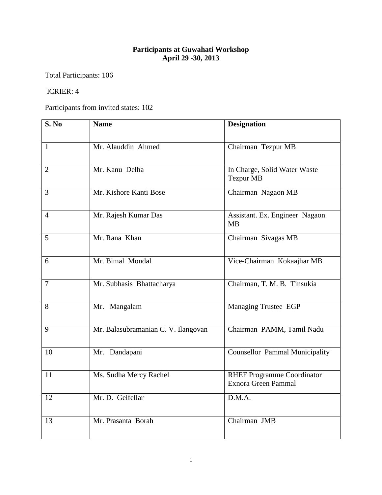## **Participants at Guwahati Workshop April 29 -30, 2013**

Total Participants: 106

## ICRIER: 4

Participants from invited states: 102

| S. No          | <b>Name</b>                         | <b>Designation</b>                                              |
|----------------|-------------------------------------|-----------------------------------------------------------------|
| $\mathbf{1}$   | Mr. Alauddin Ahmed                  | Chairman Tezpur MB                                              |
| $\overline{2}$ | Mr. Kanu Delha                      | In Charge, Solid Water Waste<br><b>Tezpur MB</b>                |
| 3              | Mr. Kishore Kanti Bose              | Chairman Nagaon MB                                              |
| $\overline{4}$ | Mr. Rajesh Kumar Das                | Assistant. Ex. Engineer Nagaon<br><b>MB</b>                     |
| 5              | Mr. Rana Khan                       | Chairman Sivagas MB                                             |
| 6              | Mr. Bimal Mondal                    | Vice-Chairman Kokaajhar MB                                      |
| $\overline{7}$ | Mr. Subhasis Bhattacharya           | Chairman, T. M. B. Tinsukia                                     |
| 8              | Mr. Mangalam                        | <b>Managing Trustee EGP</b>                                     |
| 9              | Mr. Balasubramanian C. V. Ilangovan | Chairman PAMM, Tamil Nadu                                       |
| 10             | Mr. Dandapani                       | <b>Counsellor Pammal Municipality</b>                           |
| 11             | Ms. Sudha Mercy Rachel              | <b>RHEF Programme Coordinator</b><br><b>Exnora Green Pammal</b> |
| 12             | Mr. D. Gelfellar                    | D.M.A.                                                          |
| 13             | Mr. Prasanta Borah                  | Chairman JMB                                                    |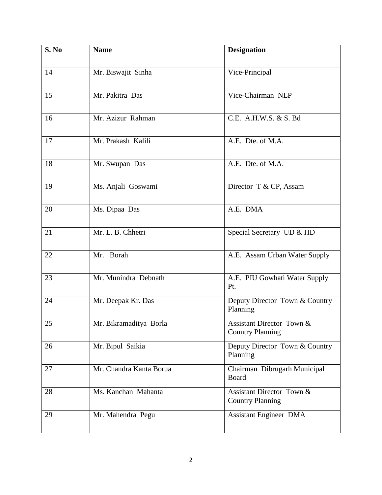| S. No | <b>Name</b>             | <b>Designation</b>                                   |
|-------|-------------------------|------------------------------------------------------|
| 14    | Mr. Biswajit Sinha      | Vice-Principal                                       |
| 15    | Mr. Pakitra Das         | Vice-Chairman NLP                                    |
| 16    | Mr. Azizur Rahman       | C.E. A.H.W.S. & S. Bd                                |
| 17    | Mr. Prakash Kalili      | A.E. Dte. of M.A.                                    |
| 18    | Mr. Swupan Das          | A.E. Dte. of M.A.                                    |
| 19    | Ms. Anjali Goswami      | Director T & CP, Assam                               |
| 20    | Ms. Dipaa Das           | A.E. DMA                                             |
| 21    | Mr. L. B. Chhetri       | Special Secretary UD & HD                            |
| 22    | Mr. Borah               | A.E. Assam Urban Water Supply                        |
| 23    | Mr. Munindra Debnath    | A.E. PIU Gowhati Water Supply<br>Pt.                 |
| 24    | Mr. Deepak Kr. Das      | Deputy Director Town & Country<br>Planning           |
| 25    | Mr. Bikramaditya Borla  | Assistant Director Town &<br><b>Country Planning</b> |
| 26    | Mr. Bipul Saikia        | Deputy Director Town & Country<br>Planning           |
| 27    | Mr. Chandra Kanta Borua | Chairman Dibrugarh Municipal<br>Board                |
| 28    | Ms. Kanchan Mahanta     | Assistant Director Town &<br><b>Country Planning</b> |
| 29    | Mr. Mahendra Pegu       | <b>Assistant Engineer DMA</b>                        |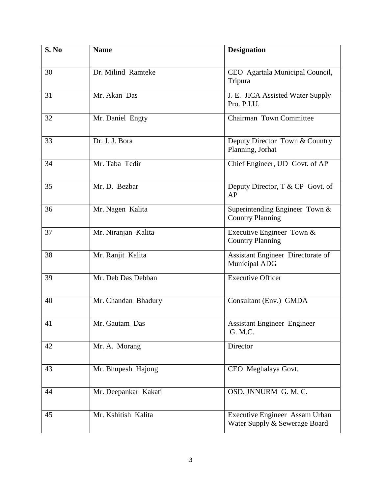| S. No | <b>Name</b>          | <b>Designation</b>                                              |
|-------|----------------------|-----------------------------------------------------------------|
| 30    | Dr. Milind Ramteke   | CEO Agartala Municipal Council,<br>Tripura                      |
| 31    | Mr. Akan Das         | J. E. JICA Assisted Water Supply<br>Pro. P.I.U.                 |
| 32    | Mr. Daniel Engty     | <b>Chairman Town Committee</b>                                  |
| 33    | Dr. J. J. Bora       | Deputy Director Town & Country<br>Planning, Jorhat              |
| 34    | Mr. Taba Tedir       | Chief Engineer, UD Govt. of AP                                  |
| 35    | Mr. D. Bezbar        | Deputy Director, T & CP Govt. of<br>AP                          |
| 36    | Mr. Nagen Kalita     | Superintending Engineer Town &<br><b>Country Planning</b>       |
| 37    | Mr. Niranjan Kalita  | Executive Engineer Town $&$<br><b>Country Planning</b>          |
| 38    | Mr. Ranjit Kalita    | Assistant Engineer Directorate of<br><b>Municipal ADG</b>       |
| 39    | Mr. Deb Das Debban   | <b>Executive Officer</b>                                        |
| 40    | Mr. Chandan Bhadury  | Consultant (Env.) GMDA                                          |
| 41    | Mr. Gautam Das       | <b>Assistant Engineer Engineer</b><br>G. M.C.                   |
| 42    | Mr. A. Morang        | Director                                                        |
| 43    | Mr. Bhupesh Hajong   | CEO Meghalaya Govt.                                             |
| 44    | Mr. Deepankar Kakati | OSD, JNNURM G. M. C.                                            |
| 45    | Mr. Kshitish Kalita  | Executive Engineer Assam Urban<br>Water Supply & Sewerage Board |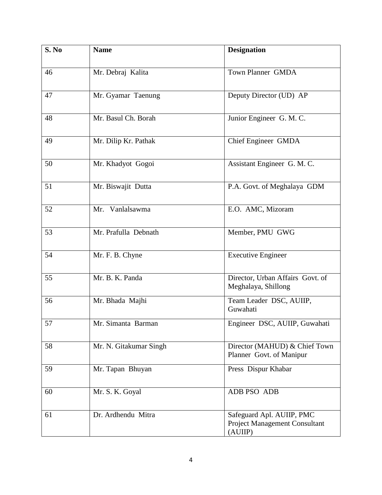| S. No | <b>Name</b>            | <b>Designation</b>                                                    |
|-------|------------------------|-----------------------------------------------------------------------|
| 46    | Mr. Debraj Kalita      | Town Planner GMDA                                                     |
| 47    | Mr. Gyamar Taenung     | Deputy Director (UD) AP                                               |
| 48    | Mr. Basul Ch. Borah    | Junior Engineer G. M. C.                                              |
| 49    | Mr. Dilip Kr. Pathak   | Chief Engineer GMDA                                                   |
| 50    | Mr. Khadyot Gogoi      | Assistant Engineer G. M. C.                                           |
| 51    | Mr. Biswajit Dutta     | P.A. Govt. of Meghalaya GDM                                           |
| 52    | Mr. Vanlalsawma        | E.O. AMC, Mizoram                                                     |
| 53    | Mr. Prafulla Debnath   | Member, PMU GWG                                                       |
| 54    | Mr. F. B. Chyne        | <b>Executive Engineer</b>                                             |
| 55    | Mr. B. K. Panda        | Director, Urban Affairs Govt. of<br>Meghalaya, Shillong               |
| 56    | Mr. Bhada Majhi        | Team Leader DSC, AUIIP,<br>Guwahati                                   |
| 57    | Mr. Simanta Barman     | Engineer DSC, AUIIP, Guwahati                                         |
| 58    | Mr. N. Gitakumar Singh | Director (MAHUD) & Chief Town<br>Planner Govt. of Manipur             |
| 59    | Mr. Tapan Bhuyan       | Press Dispur Khabar                                                   |
| 60    | Mr. S. K. Goyal        | ADB PSO ADB                                                           |
| 61    | Dr. Ardhendu Mitra     | Safeguard Apl. AUIIP, PMC<br>Project Management Consultant<br>(AUIIP) |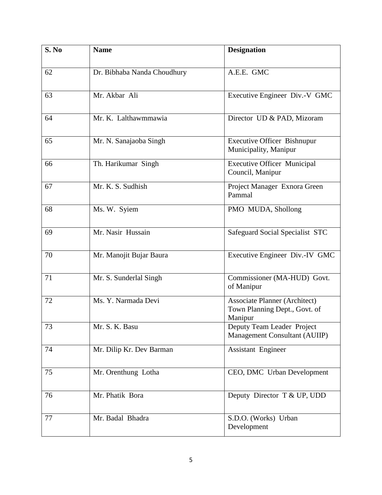| S. No | <b>Name</b>                 | <b>Designation</b>                                                               |
|-------|-----------------------------|----------------------------------------------------------------------------------|
| 62    | Dr. Bibhaba Nanda Choudhury | A.E.E. GMC                                                                       |
| 63    | Mr. Akbar Ali               | Executive Engineer Div.-V GMC                                                    |
| 64    | Mr. K. Lalthawmmawia        | Director UD & PAD, Mizoram                                                       |
| 65    | Mr. N. Sanajaoba Singh      | <b>Executive Officer Bishnupur</b><br>Municipality, Manipur                      |
| 66    | Th. Harikumar Singh         | <b>Executive Officer Municipal</b><br>Council, Manipur                           |
| 67    | Mr. K. S. Sudhish           | Project Manager Exnora Green<br>Pammal                                           |
| 68    | Ms. W. Syiem                | PMO MUDA, Shollong                                                               |
| 69    | Mr. Nasir Hussain           | Safeguard Social Specialist STC                                                  |
| 70    | Mr. Manojit Bujar Baura     | Executive Engineer Div.-IV GMC                                                   |
| 71    | Mr. S. Sunderlal Singh      | Commissioner (MA-HUD) Govt.<br>of Manipur                                        |
| 72    | Ms. Y. Narmada Devi         | <b>Associate Planner (Architect)</b><br>Town Planning Dept., Govt. of<br>Manipur |
| 73    | Mr. S. K. Basu              | Deputy Team Leader Project<br>Management Consultant (AUIIP)                      |
| 74    | Mr. Dilip Kr. Dev Barman    | Assistant Engineer                                                               |
| 75    | Mr. Orenthung Lotha         | CEO, DMC Urban Development                                                       |
| 76    | Mr. Phatik Bora             | Deputy Director T & UP, UDD                                                      |
| 77    | Mr. Badal Bhadra            | S.D.O. (Works) Urban<br>Development                                              |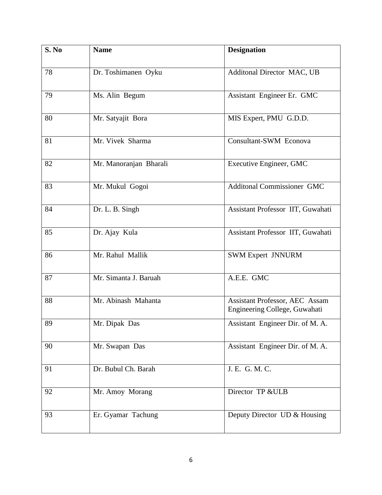| S. No | <b>Name</b>            | <b>Designation</b>                                                     |
|-------|------------------------|------------------------------------------------------------------------|
| 78    | Dr. Toshimanen Oyku    | Additonal Director MAC, UB                                             |
| 79    | Ms. Alin Begum         | Assistant Engineer Er. GMC                                             |
| 80    | Mr. Satyajit Bora      | MIS Expert, PMU G.D.D.                                                 |
| 81    | Mr. Vivek Sharma       | Consultant-SWM Econova                                                 |
| 82    | Mr. Manoranjan Bharali | Executive Engineer, GMC                                                |
| 83    | Mr. Mukul Gogoi        | <b>Additonal Commissioner GMC</b>                                      |
| 84    | Dr. L. B. Singh        | Assistant Professor IIT, Guwahati                                      |
| 85    | Dr. Ajay Kula          | Assistant Professor IIT, Guwahati                                      |
| 86    | Mr. Rahul Mallik       | <b>SWM Expert JNNURM</b>                                               |
| 87    | Mr. Simanta J. Baruah  | A.E.E. GMC                                                             |
| 88    | Mr. Abinash Mahanta    | <b>Assistant Professor, AEC Assam</b><br>Engineering College, Guwahati |
| 89    | Mr. Dipak Das          | Assistant Engineer Dir. of M. A.                                       |
| 90    | Mr. Swapan Das         | Assistant Engineer Dir. of M. A.                                       |
| 91    | Dr. Bubul Ch. Barah    | J. E. G. M. C.                                                         |
| 92    | Mr. Amoy Morang        | Director TP &ULB                                                       |
| 93    | Er. Gyamar Tachung     | Deputy Director UD & Housing                                           |